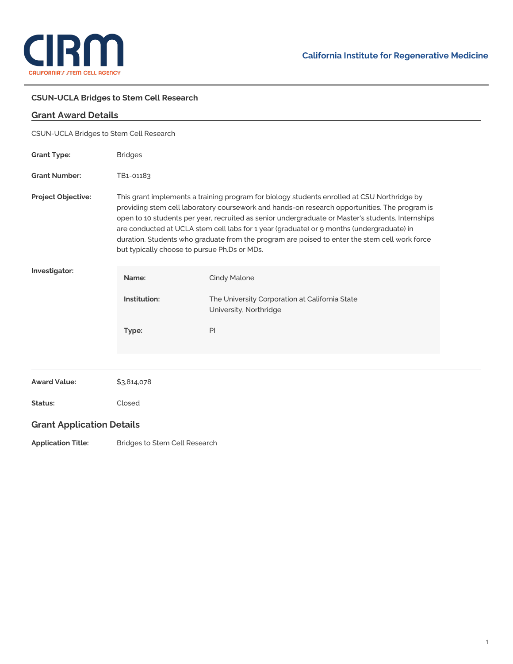

÷,

## **CSUN-UCLA Bridges to Stem Cell Research**

| <b>Grant Award Details</b>              |                                                                                                                                                                                                                                                                                                                                                                                                                                                                                                                                                 |                                                                                          |  |
|-----------------------------------------|-------------------------------------------------------------------------------------------------------------------------------------------------------------------------------------------------------------------------------------------------------------------------------------------------------------------------------------------------------------------------------------------------------------------------------------------------------------------------------------------------------------------------------------------------|------------------------------------------------------------------------------------------|--|
| CSUN-UCLA Bridges to Stem Cell Research |                                                                                                                                                                                                                                                                                                                                                                                                                                                                                                                                                 |                                                                                          |  |
| <b>Grant Type:</b>                      | <b>Bridges</b>                                                                                                                                                                                                                                                                                                                                                                                                                                                                                                                                  |                                                                                          |  |
| <b>Grant Number:</b>                    | TB1-01183                                                                                                                                                                                                                                                                                                                                                                                                                                                                                                                                       |                                                                                          |  |
| <b>Project Objective:</b>               | This grant implements a training program for biology students enrolled at CSU Northridge by<br>providing stem cell laboratory coursework and hands-on research opportunities. The program is<br>open to 10 students per year, recruited as senior undergraduate or Master's students. Internships<br>are conducted at UCLA stem cell labs for 1 year (graduate) or 9 months (undergraduate) in<br>duration. Students who graduate from the program are poised to enter the stem cell work force<br>but typically choose to pursue Ph.Ds or MDs. |                                                                                          |  |
| Investigator:                           | Name:<br>Institution:                                                                                                                                                                                                                                                                                                                                                                                                                                                                                                                           | Cindy Malone<br>The University Corporation at California State<br>University, Northridge |  |
|                                         | Type:                                                                                                                                                                                                                                                                                                                                                                                                                                                                                                                                           | PI                                                                                       |  |
| <b>Award Value:</b>                     | \$3,814,078                                                                                                                                                                                                                                                                                                                                                                                                                                                                                                                                     |                                                                                          |  |
| Status:                                 | Closed                                                                                                                                                                                                                                                                                                                                                                                                                                                                                                                                          |                                                                                          |  |
| <b>Grant Application Details</b>        |                                                                                                                                                                                                                                                                                                                                                                                                                                                                                                                                                 |                                                                                          |  |
|                                         | $ -$                                                                                                                                                                                                                                                                                                                                                                                                                                                                                                                                            |                                                                                          |  |

**Application Title:** Bridges to Stem Cell Research